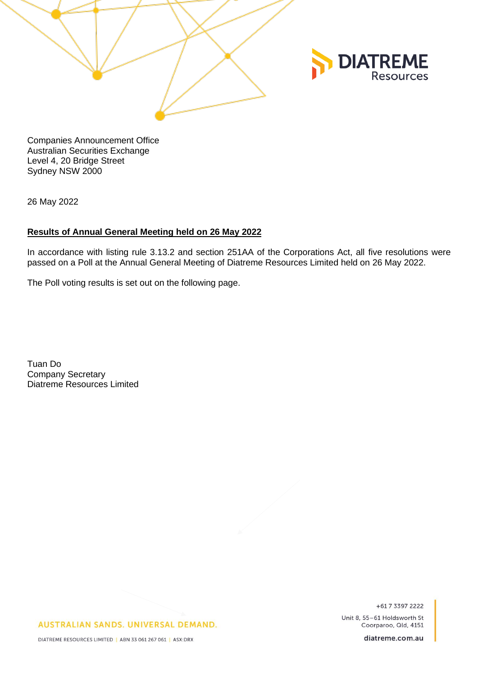

Companies Announcement Office Australian Securities Exchange Level 4, 20 Bridge Street Sydney NSW 2000

26 May 2022

## **Results of Annual General Meeting held on 26 May 2022**

In accordance with listing rule 3.13.2 and section 251AA of the Corporations Act, all five resolutions were passed on a Poll at the Annual General Meeting of Diatreme Resources Limited held on 26 May 2022.

The Poll voting results is set out on the following page.

Tuan Do Company Secretary Diatreme Resources Limited

+617 3397 2222

Unit 8, 55-61 Holdsworth St Coorparoo, Qld, 4151

AUSTRALIAN SANDS. UNIVERSAL DEMAND.

diatreme.com.au

DIATREME RESOURCES LIMITED | ABN 33 061 267 061 | ASX:DRX